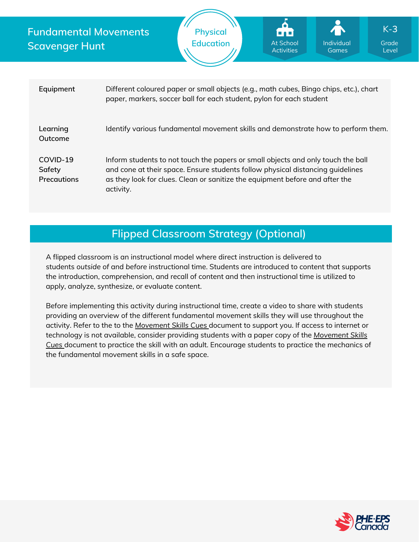**Fundamental Movements Scavenger Hunt**



| Equipment                         | Different coloured paper or small objects (e.g., math cubes, Bingo chips, etc.), chart<br>paper, markers, soccer ball for each student, pylon for each student                                                                                                  |
|-----------------------------------|-----------------------------------------------------------------------------------------------------------------------------------------------------------------------------------------------------------------------------------------------------------------|
| Learning<br>Outcome               | Identify various fundamental movement skills and demonstrate how to perform them.                                                                                                                                                                               |
| COVID-19<br>Safety<br>Precautions | Inform students to not touch the papers or small objects and only touch the ball<br>and cone at their space. Ensure students follow physical distancing quidelines<br>as they look for clues. Clean or sanitize the equipment before and after the<br>activity. |

## **Flipped Classroom Strategy (Optional)**

A flipped classroom is an instructional model where direct instruction is delivered to students *outside of* and *before* instructional time. Students are introduced to content that supports the introduction, comprehension, and recall of content and then instructional time is utilized to apply, analyze, synthesize, or evaluate content.

Before implementing this activity during instructional time, create a video to share with students providing an overview of the different fundamental movement skills they will use throughout the activity. Refer to the to the *[Movement](https://phecanada.ca/sites/default/files/content/docs/Home%20Learning%20Resource/Movement%20Cues/Movement%20Skills%20Cues%201.pdf) Skills Cues* document to support you. If access to internet or [technology](https://phecanada.ca/sites/default/files/content/docs/Home%20Learning%20Resource/Movement%20Cues/Movement%20Skills%20Cues%201.pdf) is not available, consider providing students with a paper copy of the *Movement Skills Cues* document to practice the skill with an adult. Encourage students to practice the mechanics of the fundamental movement skills in a safe space.

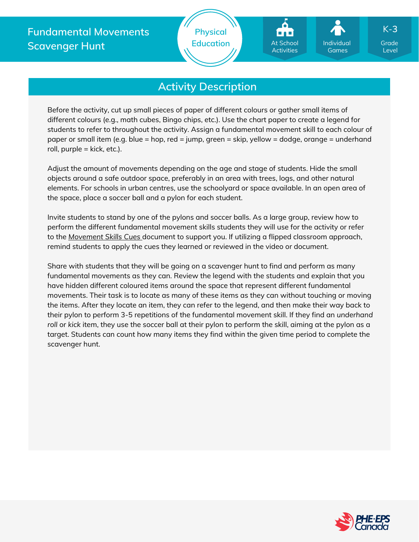



Level K-**3**

# **Activity Description**

Before the activity, cut up small pieces of paper of different colours or gather small items of different colours (e.g., math cubes, Bingo chips, etc.). Use the chart paper to create a legend for students to refer to throughout the activity. Assign a fundamental movement skill to each colour of paper or small item (e.g. blue = hop, red = jump, green = skip, yellow = dodge, orange = underhand roll, purple  $=$  kick, etc.).

Adjust the amount of movements depending on the age and stage of students. Hide the small objects around a safe outdoor space, preferably in an area with trees, logs, and other natural elements. For schools in urban centres, use the schoolyard or space available. In an open area of the space, place a soccer ball and a pylon for each student.

Invite students to stand by one of the pylons and soccer balls. As a large group, review how to perform the different fundamental movement skills students they will use for the activity or refer to the *[Movement](https://phecanada.ca/sites/default/files/content/docs/Home%20Learning%20Resource/Movement%20Cues/Movement%20Skills%20Cues%201.pdf) Skills Cues* document to support you. If utilizing a flipped classroom approach, remind students to apply the cues they learned or reviewed in the video or document.

Share with students that they will be going on a scavenger hunt to find and perform as many fundamental movements as they can. Review the legend with the students and explain that you have hidden different coloured items around the space that represent different fundamental movements. Their task is to locate as many of these items as they can without touching or moving the items. After they locate an item, they can refer to the legend, and then make their way back to their pylon to perform 3-5 repetitions of the fundamental movement skill. If they find an *underhand roll* or *kick* item, they use the soccer ball at their pylon to perform the skill, aiming at the pylon as a target. Students can count how many items they find within the given time period to complete the scavenger hunt.

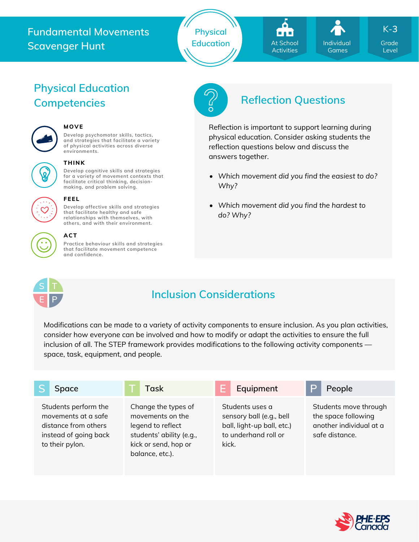## **Fundamental Movements Scavenger Hunt**

**Physical**



Level K-**3**

# **Physical Education**



## **MOVE**

**Develop psychomotor skills, tactics, and strategies that facilitate a variety of physical activities across diverse environments.**



## **THINK**

**Develop cognitive skills and strategies for a variety of movement contexts that facilitate critical thinking, decision making, and problem solving.**



#### **that facilitate healthy and safe relationships with themselves, with others, and with their environment.**

**FEEL**

**Practice behaviour skills and strategies that facilitate movement competence and confidence. ACT**

**Develop affective skills and strategies**



# **Competencies Reflection Questions**

Reflection is important to support learning during physical education. Consider asking students the reflection questions below and discuss the answers together.

- *Which movement did you find the easiest to do? Why?*
- *Which movement did you find the hardest to do? Why?*



# **Inclusion Considerations**

Modifications can be made to a variety of activity components to ensure inclusion. As you plan activities, consider how everyone can be involved and how to modify or adapt the activities to ensure the full inclusion of all. The STEP framework provides modifications to the following activity components space, task, equipment, and people.

| Space                                                                                                           | Task                                                                                                                                | Equipment                                                                                                  | D<br>People                                                                               |
|-----------------------------------------------------------------------------------------------------------------|-------------------------------------------------------------------------------------------------------------------------------------|------------------------------------------------------------------------------------------------------------|-------------------------------------------------------------------------------------------|
| Students perform the<br>movements at a safe<br>distance from others<br>instead of going back<br>to their pylon. | Change the types of<br>movements on the<br>legend to reflect<br>students' ability (e.g.,<br>kick or send, hop or<br>balance, etc.). | Students uses a<br>sensory ball (e.g., bell<br>ball, light-up ball, etc.)<br>to underhand roll or<br>kick. | Students move through<br>the space following<br>another individual at a<br>safe distance. |